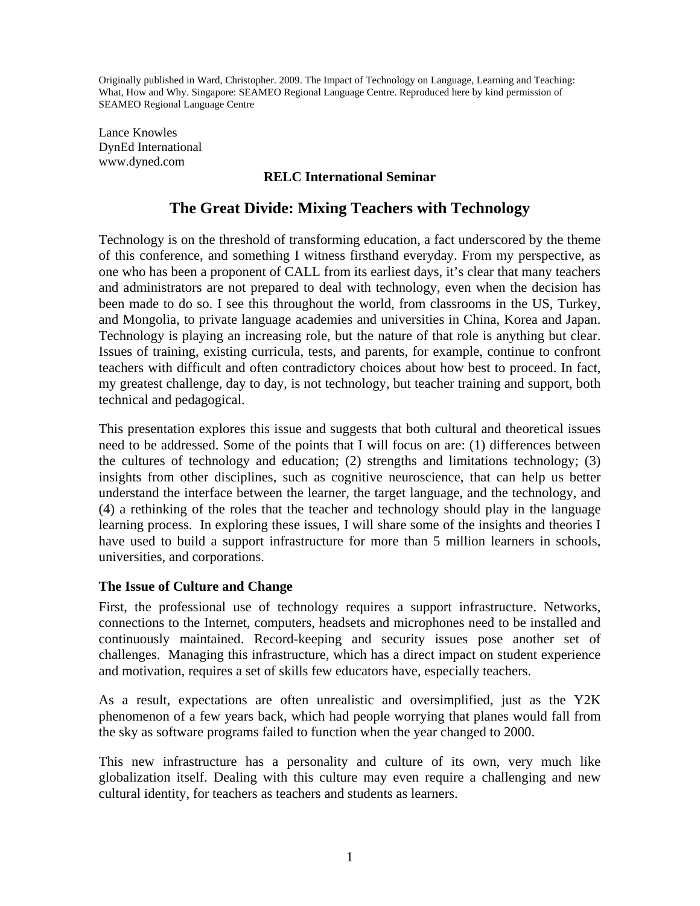Originally published in Ward, Christopher. 2009. The Impact of Technology on Language, Learning and Teaching: What, How and Why. Singapore: SEAMEO Regional Language Centre. Reproduced here by kind permission of SEAMEO Regional Language Centre

Lance Knowles DynEd International www.dyned.com

#### **RELC International Seminar**

## **The Great Divide: Mixing Teachers with Technology**

Technology is on the threshold of transforming education, a fact underscored by the theme of this conference, and something I witness firsthand everyday. From my perspective, as one who has been a proponent of CALL from its earliest days, it's clear that many teachers and administrators are not prepared to deal with technology, even when the decision has been made to do so. I see this throughout the world, from classrooms in the US, Turkey, and Mongolia, to private language academies and universities in China, Korea and Japan. Technology is playing an increasing role, but the nature of that role is anything but clear. Issues of training, existing curricula, tests, and parents, for example, continue to confront teachers with difficult and often contradictory choices about how best to proceed. In fact, my greatest challenge, day to day, is not technology, but teacher training and support, both technical and pedagogical.

This presentation explores this issue and suggests that both cultural and theoretical issues need to be addressed. Some of the points that I will focus on are: (1) differences between the cultures of technology and education; (2) strengths and limitations technology; (3) insights from other disciplines, such as cognitive neuroscience, that can help us better understand the interface between the learner, the target language, and the technology, and (4) a rethinking of the roles that the teacher and technology should play in the language learning process. In exploring these issues, I will share some of the insights and theories I have used to build a support infrastructure for more than 5 million learners in schools, universities, and corporations.

#### **The Issue of Culture and Change**

First, the professional use of technology requires a support infrastructure. Networks, connections to the Internet, computers, headsets and microphones need to be installed and continuously maintained. Record-keeping and security issues pose another set of challenges. Managing this infrastructure, which has a direct impact on student experience and motivation, requires a set of skills few educators have, especially teachers.

As a result, expectations are often unrealistic and oversimplified, just as the Y2K phenomenon of a few years back, which had people worrying that planes would fall from the sky as software programs failed to function when the year changed to 2000.

This new infrastructure has a personality and culture of its own, very much like globalization itself. Dealing with this culture may even require a challenging and new cultural identity, for teachers as teachers and students as learners.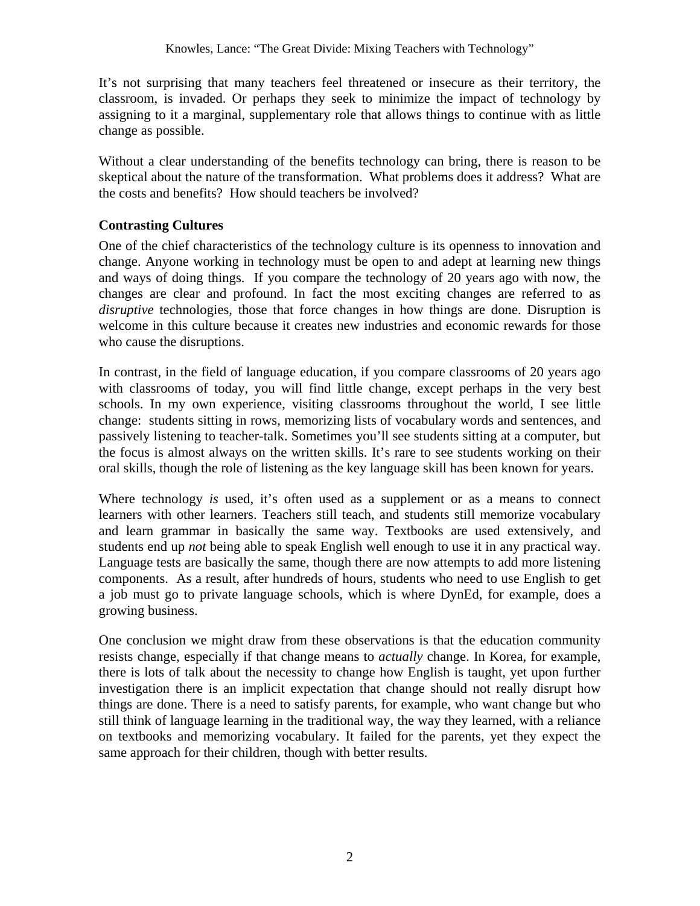It's not surprising that many teachers feel threatened or insecure as their territory, the classroom, is invaded. Or perhaps they seek to minimize the impact of technology by assigning to it a marginal, supplementary role that allows things to continue with as little change as possible.

Without a clear understanding of the benefits technology can bring, there is reason to be skeptical about the nature of the transformation. What problems does it address? What are the costs and benefits? How should teachers be involved?

# **Contrasting Cultures**

One of the chief characteristics of the technology culture is its openness to innovation and change. Anyone working in technology must be open to and adept at learning new things and ways of doing things. If you compare the technology of 20 years ago with now, the changes are clear and profound. In fact the most exciting changes are referred to as *disruptive* technologies, those that force changes in how things are done. Disruption is welcome in this culture because it creates new industries and economic rewards for those who cause the disruptions.

In contrast, in the field of language education, if you compare classrooms of 20 years ago with classrooms of today, you will find little change, except perhaps in the very best schools. In my own experience, visiting classrooms throughout the world, I see little change: students sitting in rows, memorizing lists of vocabulary words and sentences, and passively listening to teacher-talk. Sometimes you'll see students sitting at a computer, but the focus is almost always on the written skills. It's rare to see students working on their oral skills, though the role of listening as the key language skill has been known for years.

Where technology *is* used, it's often used as a supplement or as a means to connect learners with other learners. Teachers still teach, and students still memorize vocabulary and learn grammar in basically the same way. Textbooks are used extensively, and students end up *not* being able to speak English well enough to use it in any practical way. Language tests are basically the same, though there are now attempts to add more listening components. As a result, after hundreds of hours, students who need to use English to get a job must go to private language schools, which is where DynEd, for example, does a growing business.

One conclusion we might draw from these observations is that the education community resists change, especially if that change means to *actually* change. In Korea, for example, there is lots of talk about the necessity to change how English is taught, yet upon further investigation there is an implicit expectation that change should not really disrupt how things are done. There is a need to satisfy parents, for example, who want change but who still think of language learning in the traditional way, the way they learned, with a reliance on textbooks and memorizing vocabulary. It failed for the parents, yet they expect the same approach for their children, though with better results.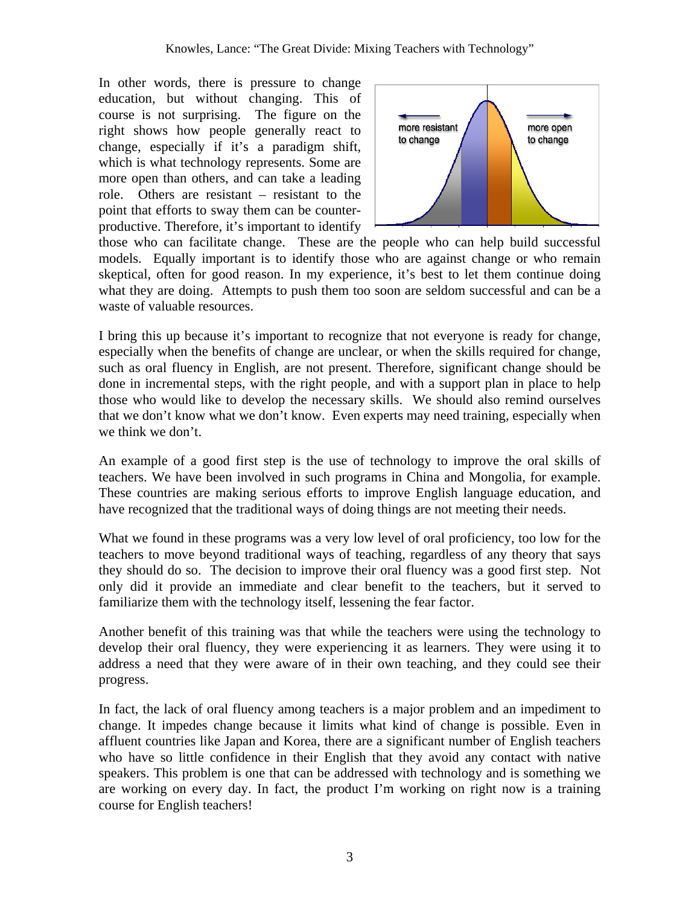In other words, there is pressure to change education, but without changing. This of course is not surprising. The figure on the right shows how people generally react to change, especially if it's a paradigm shift, which is what technology represents. Some are more open than others, and can take a leading role. Others are resistant – resistant to the point that efforts to sway them can be counterproductive. Therefore, it's important to identify



those who can facilitate change. These are the people who can help build successful models. Equally important is to identify those who are against change or who remain skeptical, often for good reason. In my experience, it's best to let them continue doing what they are doing. Attempts to push them too soon are seldom successful and can be a waste of valuable resources.

I bring this up because it's important to recognize that not everyone is ready for change, especially when the benefits of change are unclear, or when the skills required for change, such as oral fluency in English, are not present. Therefore, significant change should be done in incremental steps, with the right people, and with a support plan in place to help those who would like to develop the necessary skills. We should also remind ourselves that we don't know what we don't know. Even experts may need training, especially when we think we don't.

An example of a good first step is the use of technology to improve the oral skills of teachers. We have been involved in such programs in China and Mongolia, for example. These countries are making serious efforts to improve English language education, and have recognized that the traditional ways of doing things are not meeting their needs.

What we found in these programs was a very low level of oral proficiency, too low for the teachers to move beyond traditional ways of teaching, regardless of any theory that says they should do so. The decision to improve their oral fluency was a good first step. Not only did it provide an immediate and clear benefit to the teachers, but it served to familiarize them with the technology itself, lessening the fear factor.

Another benefit of this training was that while the teachers were using the technology to develop their oral fluency, they were experiencing it as learners. They were using it to address a need that they were aware of in their own teaching, and they could see their progress.

In fact, the lack of oral fluency among teachers is a major problem and an impediment to change. It impedes change because it limits what kind of change is possible. Even in affluent countries like Japan and Korea, there are a significant number of English teachers who have so little confidence in their English that they avoid any contact with native speakers. This problem is one that can be addressed with technology and is something we are working on every day. In fact, the product I'm working on right now is a training course for English teachers!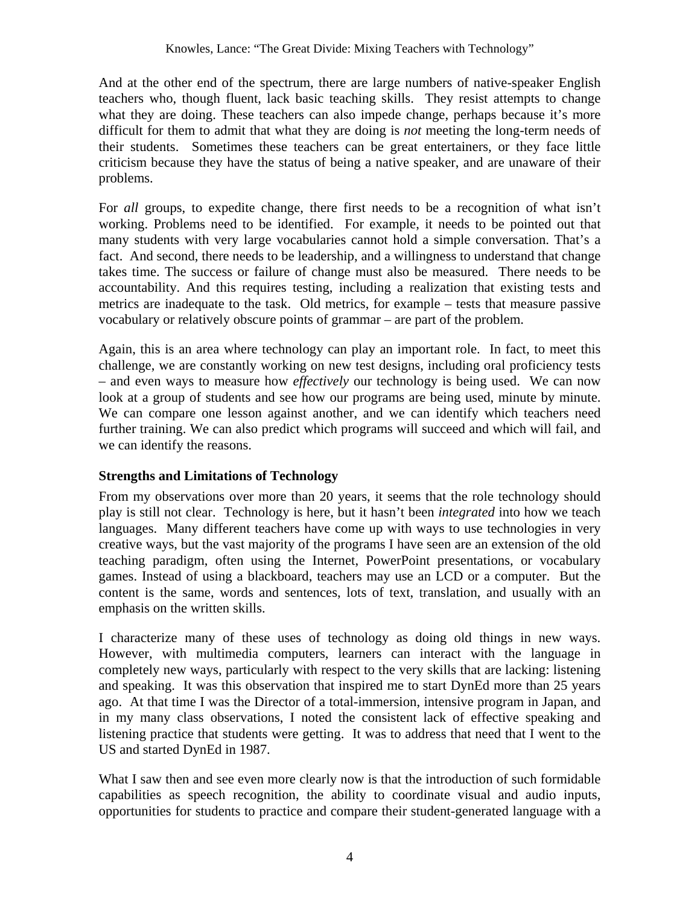And at the other end of the spectrum, there are large numbers of native-speaker English teachers who, though fluent, lack basic teaching skills. They resist attempts to change what they are doing. These teachers can also impede change, perhaps because it's more difficult for them to admit that what they are doing is *not* meeting the long-term needs of their students. Sometimes these teachers can be great entertainers, or they face little criticism because they have the status of being a native speaker, and are unaware of their problems.

For *all* groups, to expedite change, there first needs to be a recognition of what isn't working. Problems need to be identified. For example, it needs to be pointed out that many students with very large vocabularies cannot hold a simple conversation. That's a fact. And second, there needs to be leadership, and a willingness to understand that change takes time. The success or failure of change must also be measured. There needs to be accountability. And this requires testing, including a realization that existing tests and metrics are inadequate to the task. Old metrics, for example – tests that measure passive vocabulary or relatively obscure points of grammar – are part of the problem.

Again, this is an area where technology can play an important role. In fact, to meet this challenge, we are constantly working on new test designs, including oral proficiency tests – and even ways to measure how *effectively* our technology is being used. We can now look at a group of students and see how our programs are being used, minute by minute. We can compare one lesson against another, and we can identify which teachers need further training. We can also predict which programs will succeed and which will fail, and we can identify the reasons.

### **Strengths and Limitations of Technology**

From my observations over more than 20 years, it seems that the role technology should play is still not clear. Technology is here, but it hasn't been *integrated* into how we teach languages. Many different teachers have come up with ways to use technologies in very creative ways, but the vast majority of the programs I have seen are an extension of the old teaching paradigm, often using the Internet, PowerPoint presentations, or vocabulary games. Instead of using a blackboard, teachers may use an LCD or a computer. But the content is the same, words and sentences, lots of text, translation, and usually with an emphasis on the written skills.

I characterize many of these uses of technology as doing old things in new ways. However, with multimedia computers, learners can interact with the language in completely new ways, particularly with respect to the very skills that are lacking: listening and speaking. It was this observation that inspired me to start DynEd more than 25 years ago. At that time I was the Director of a total-immersion, intensive program in Japan, and in my many class observations, I noted the consistent lack of effective speaking and listening practice that students were getting. It was to address that need that I went to the US and started DynEd in 1987.

What I saw then and see even more clearly now is that the introduction of such formidable capabilities as speech recognition, the ability to coordinate visual and audio inputs, opportunities for students to practice and compare their student-generated language with a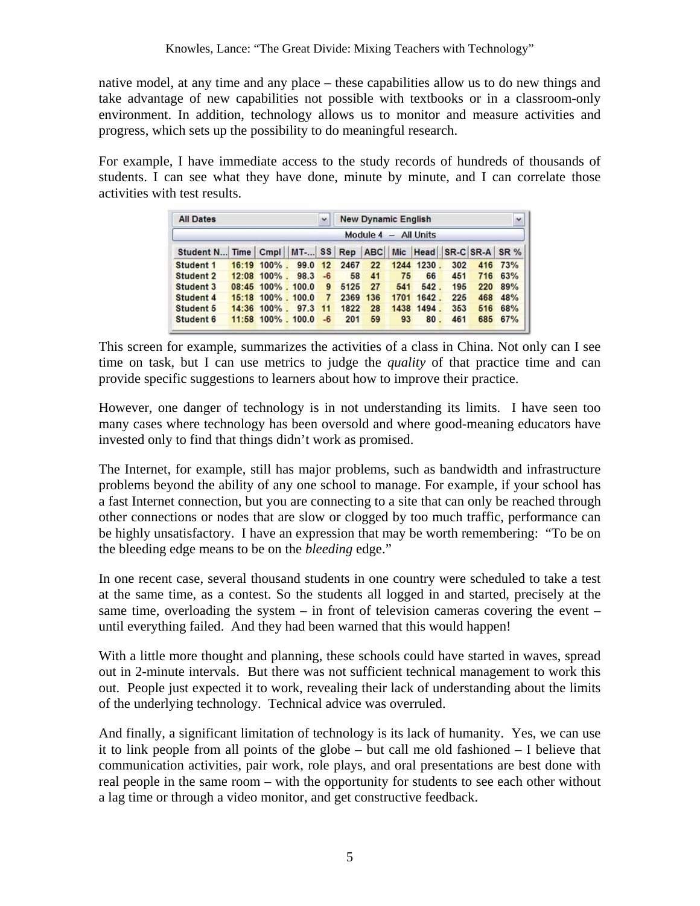native model, at any time and any place – these capabilities allow us to do new things and take advantage of new capabilities not possible with textbooks or in a classroom-only environment. In addition, technology allows us to monitor and measure activities and progress, which sets up the possibility to do meaningful research.

For example, I have immediate access to the study records of hundreds of thousands of students. I can see what they have done, minute by minute, and I can correlate those activities with test results.

| <b>All Dates</b>          |       |               |            | $\checkmark$ | <b>New Dynamic English</b> |     |      |              |     | $\ddot{ }$     |     |
|---------------------------|-------|---------------|------------|--------------|----------------------------|-----|------|--------------|-----|----------------|-----|
| $-$ All Units<br>Module 4 |       |               |            |              |                            |     |      |              |     |                |     |
| Student N Time Cmpl       |       |               | MT- SS Rep |              |                            |     |      | ABC Mic Head |     | SR-C SR-A SR % |     |
| Student 1                 | 16:19 | $100%$ .      | 99.0       | 12           | 2467                       | 22  |      | 1244 1230    | 302 | 416            | 73% |
| Student 2                 |       | $12:08$ 100%. | 98.3       | $-6$         | 58                         | 41  | 75   | 66           | 451 | 716            | 63% |
| Student 3                 |       | $08:45$ 100%. | 100.0      | 9            | 5125                       | 27  | 541  | 542.         | 195 | 220            | 89% |
| Student 4                 |       | $15:18$ 100%. | 100.0      | 7            | 2369                       | 136 | 1701 | 1642         | 225 | 468            | 48% |
| Student 5                 | 14:36 | $100%$ .      | 97.3       | 11           | 1822                       | 28  | 1438 | 1494         | 353 | 516            | 68% |
| Student <sub>6</sub>      |       | $11:58$ 100%. | 100.0      | $-6$         | 201                        | 59  | 93   | 80           | 461 | 685            | 67% |

This screen for example, summarizes the activities of a class in China. Not only can I see time on task, but I can use metrics to judge the *quality* of that practice time and can provide specific suggestions to learners about how to improve their practice.

However, one danger of technology is in not understanding its limits. I have seen too many cases where technology has been oversold and where good-meaning educators have invested only to find that things didn't work as promised.

The Internet, for example, still has major problems, such as bandwidth and infrastructure problems beyond the ability of any one school to manage. For example, if your school has a fast Internet connection, but you are connecting to a site that can only be reached through other connections or nodes that are slow or clogged by too much traffic, performance can be highly unsatisfactory. I have an expression that may be worth remembering: "To be on the bleeding edge means to be on the *bleeding* edge."

In one recent case, several thousand students in one country were scheduled to take a test at the same time, as a contest. So the students all logged in and started, precisely at the same time, overloading the system – in front of television cameras covering the event – until everything failed. And they had been warned that this would happen!

With a little more thought and planning, these schools could have started in waves, spread out in 2-minute intervals. But there was not sufficient technical management to work this out. People just expected it to work, revealing their lack of understanding about the limits of the underlying technology. Technical advice was overruled.

And finally, a significant limitation of technology is its lack of humanity. Yes, we can use it to link people from all points of the globe – but call me old fashioned – I believe that communication activities, pair work, role plays, and oral presentations are best done with real people in the same room – with the opportunity for students to see each other without a lag time or through a video monitor, and get constructive feedback.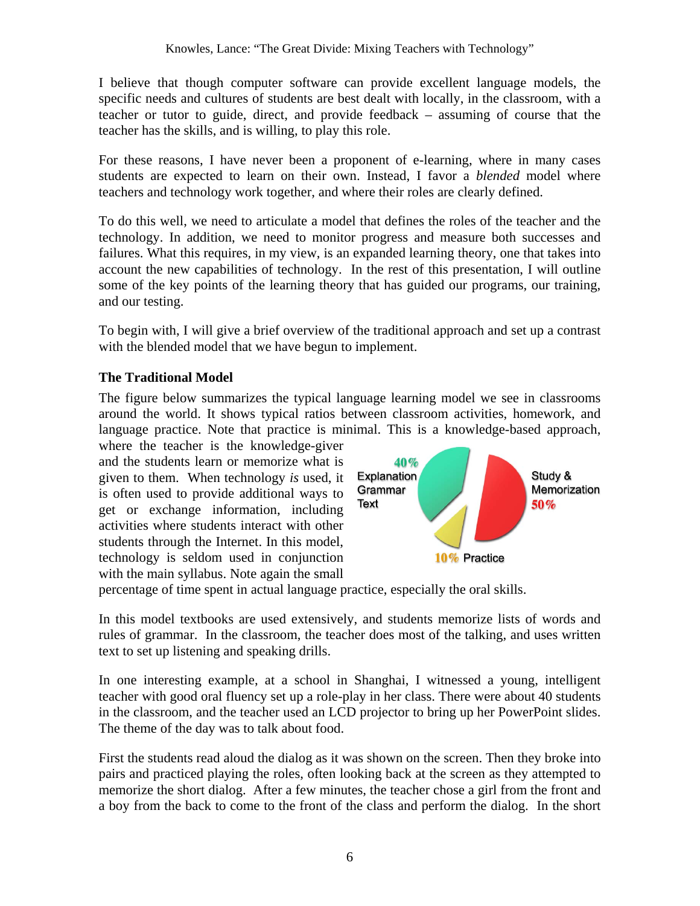I believe that though computer software can provide excellent language models, the specific needs and cultures of students are best dealt with locally, in the classroom, with a teacher or tutor to guide, direct, and provide feedback – assuming of course that the teacher has the skills, and is willing, to play this role.

For these reasons, I have never been a proponent of e-learning, where in many cases students are expected to learn on their own. Instead, I favor a *blended* model where teachers and technology work together, and where their roles are clearly defined.

To do this well, we need to articulate a model that defines the roles of the teacher and the technology. In addition, we need to monitor progress and measure both successes and failures. What this requires, in my view, is an expanded learning theory, one that takes into account the new capabilities of technology. In the rest of this presentation, I will outline some of the key points of the learning theory that has guided our programs, our training, and our testing.

To begin with, I will give a brief overview of the traditional approach and set up a contrast with the blended model that we have begun to implement.

### **The Traditional Model**

The figure below summarizes the typical language learning model we see in classrooms around the world. It shows typical ratios between classroom activities, homework, and language practice. Note that practice is minimal. This is a knowledge-based approach,

where the teacher is the knowledge-giver and the students learn or memorize what is given to them. When technology *is* used, it is often used to provide additional ways to get or exchange information, including activities where students interact with other students through the Internet. In this model, technology is seldom used in conjunction with the main syllabus. Note again the small



percentage of time spent in actual language practice, especially the oral skills.

In this model textbooks are used extensively, and students memorize lists of words and rules of grammar. In the classroom, the teacher does most of the talking, and uses written text to set up listening and speaking drills.

In one interesting example, at a school in Shanghai, I witnessed a young, intelligent teacher with good oral fluency set up a role-play in her class. There were about 40 students in the classroom, and the teacher used an LCD projector to bring up her PowerPoint slides. The theme of the day was to talk about food.

First the students read aloud the dialog as it was shown on the screen. Then they broke into pairs and practiced playing the roles, often looking back at the screen as they attempted to memorize the short dialog. After a few minutes, the teacher chose a girl from the front and a boy from the back to come to the front of the class and perform the dialog. In the short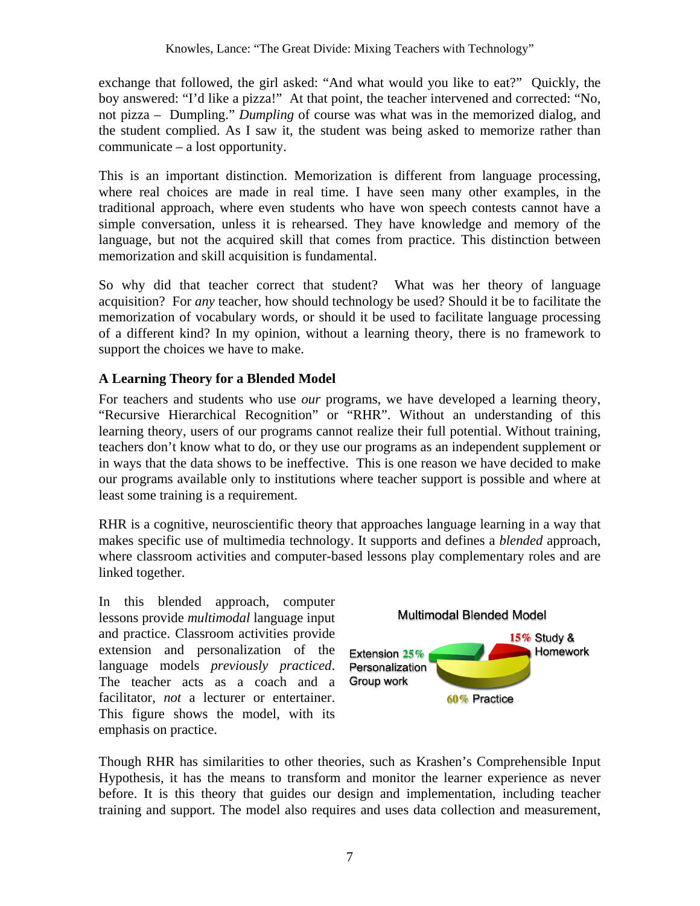exchange that followed, the girl asked: "And what would you like to eat?" Quickly, the boy answered: "I'd like a pizza!" At that point, the teacher intervened and corrected: "No, not pizza – Dumpling." *Dumpling* of course was what was in the memorized dialog, and the student complied. As I saw it, the student was being asked to memorize rather than communicate – a lost opportunity.

This is an important distinction. Memorization is different from language processing, where real choices are made in real time. I have seen many other examples, in the traditional approach, where even students who have won speech contests cannot have a simple conversation, unless it is rehearsed. They have knowledge and memory of the language, but not the acquired skill that comes from practice. This distinction between memorization and skill acquisition is fundamental.

So why did that teacher correct that student? What was her theory of language acquisition? For *any* teacher, how should technology be used? Should it be to facilitate the memorization of vocabulary words, or should it be used to facilitate language processing of a different kind? In my opinion, without a learning theory, there is no framework to support the choices we have to make.

### **A Learning Theory for a Blended Model**

For teachers and students who use *our* programs, we have developed a learning theory, "Recursive Hierarchical Recognition" or "RHR". Without an understanding of this learning theory, users of our programs cannot realize their full potential. Without training, teachers don't know what to do, or they use our programs as an independent supplement or in ways that the data shows to be ineffective. This is one reason we have decided to make our programs available only to institutions where teacher support is possible and where at least some training is a requirement.

RHR is a cognitive, neuroscientific theory that approaches language learning in a way that makes specific use of multimedia technology. It supports and defines a *blended* approach, where classroom activities and computer-based lessons play complementary roles and are linked together.

In this blended approach, computer lessons provide *multimodal* language input and practice. Classroom activities provide extension and personalization of the language models *previously practiced*. The teacher acts as a coach and a facilitator, *not* a lecturer or entertainer. This figure shows the model, with its emphasis on practice.



Though RHR has similarities to other theories, such as Krashen's Comprehensible Input Hypothesis, it has the means to transform and monitor the learner experience as never before. It is this theory that guides our design and implementation, including teacher training and support. The model also requires and uses data collection and measurement,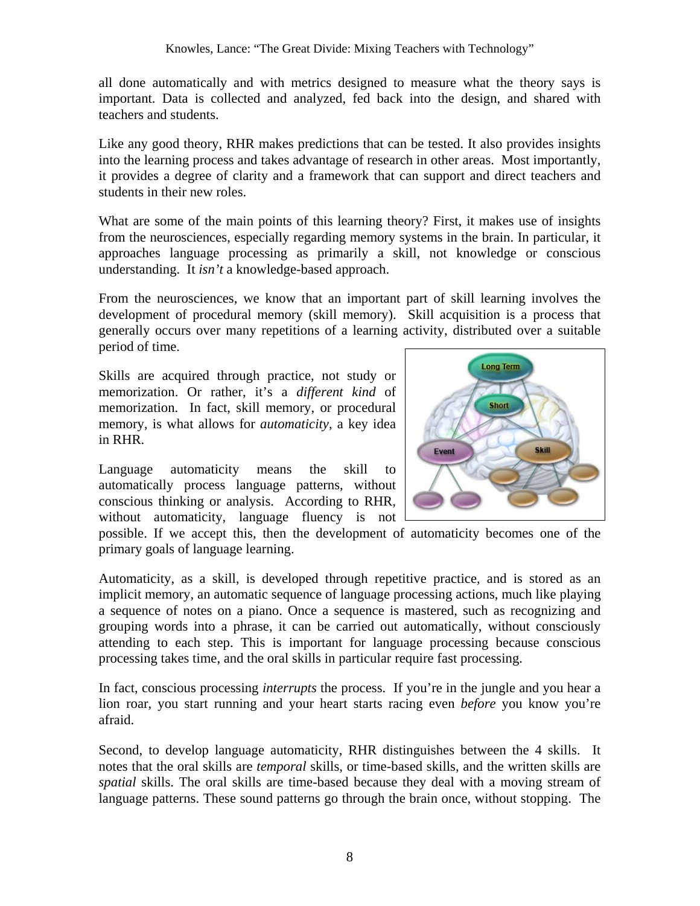all done automatically and with metrics designed to measure what the theory says is important. Data is collected and analyzed, fed back into the design, and shared with teachers and students.

Like any good theory, RHR makes predictions that can be tested. It also provides insights into the learning process and takes advantage of research in other areas. Most importantly, it provides a degree of clarity and a framework that can support and direct teachers and students in their new roles.

What are some of the main points of this learning theory? First, it makes use of insights from the neurosciences, especially regarding memory systems in the brain. In particular, it approaches language processing as primarily a skill, not knowledge or conscious understanding. It *isn't* a knowledge-based approach.

From the neurosciences, we know that an important part of skill learning involves the development of procedural memory (skill memory). Skill acquisition is a process that generally occurs over many repetitions of a learning activity, distributed over a suitable period of time.

Skills are acquired through practice, not study or memorization. Or rather, it's a *different kind* of memorization. In fact, skill memory, or procedural memory, is what allows for *automaticity*, a key idea in RHR.

Language automaticity means the skill to automatically process language patterns, without conscious thinking or analysis. According to RHR, without automaticity, language fluency is not



possible. If we accept this, then the development of automaticity becomes one of the primary goals of language learning.

Automaticity, as a skill, is developed through repetitive practice, and is stored as an implicit memory, an automatic sequence of language processing actions, much like playing a sequence of notes on a piano. Once a sequence is mastered, such as recognizing and grouping words into a phrase, it can be carried out automatically, without consciously attending to each step. This is important for language processing because conscious processing takes time, and the oral skills in particular require fast processing.

In fact, conscious processing *interrupts* the process. If you're in the jungle and you hear a lion roar, you start running and your heart starts racing even *before* you know you're afraid.

Second, to develop language automaticity, RHR distinguishes between the 4 skills. It notes that the oral skills are *temporal* skills, or time-based skills, and the written skills are *spatial* skills. The oral skills are time-based because they deal with a moving stream of language patterns. These sound patterns go through the brain once, without stopping. The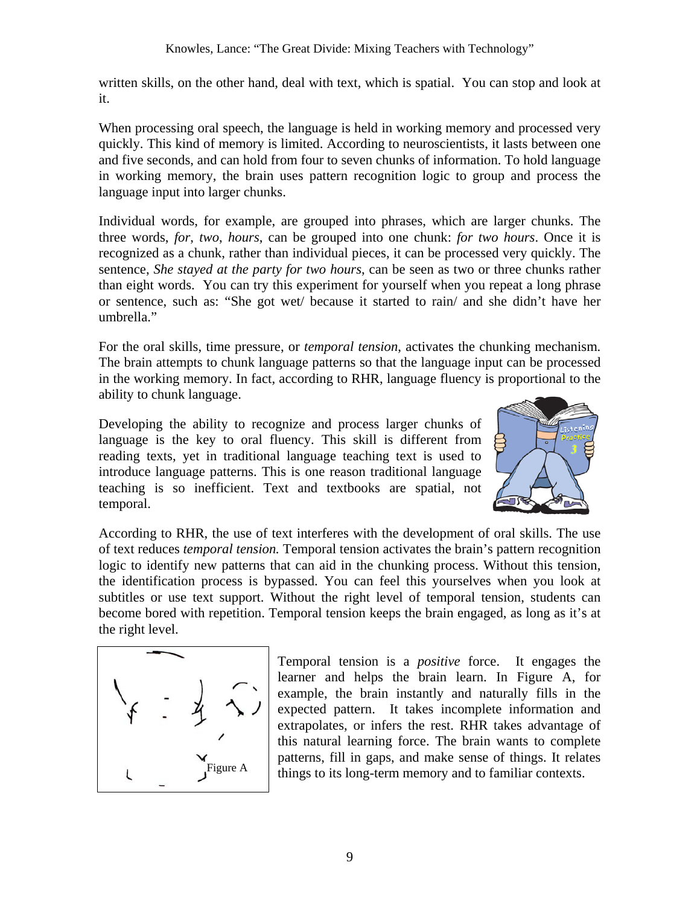written skills, on the other hand, deal with text, which is spatial. You can stop and look at it.

When processing oral speech, the language is held in working memory and processed very quickly. This kind of memory is limited. According to neuroscientists, it lasts between one and five seconds, and can hold from four to seven chunks of information. To hold language in working memory, the brain uses pattern recognition logic to group and process the language input into larger chunks.

Individual words, for example, are grouped into phrases, which are larger chunks. The three words, *for*, *two*, *hours*, can be grouped into one chunk: *for two hours*. Once it is recognized as a chunk, rather than individual pieces, it can be processed very quickly. The sentence, *She stayed at the party for two hours*, can be seen as two or three chunks rather than eight words. You can try this experiment for yourself when you repeat a long phrase or sentence, such as: "She got wet/ because it started to rain/ and she didn't have her umbrella."

For the oral skills, time pressure, or *temporal tension*, activates the chunking mechanism. The brain attempts to chunk language patterns so that the language input can be processed in the working memory. In fact, according to RHR, language fluency is proportional to the ability to chunk language.

Developing the ability to recognize and process larger chunks of language is the key to oral fluency. This skill is different from reading texts, yet in traditional language teaching text is used to introduce language patterns. This is one reason traditional language teaching is so inefficient. Text and textbooks are spatial, not temporal.



According to RHR, the use of text interferes with the development of oral skills. The use of text reduces *temporal tension.* Temporal tension activates the brain's pattern recognition logic to identify new patterns that can aid in the chunking process. Without this tension, the identification process is bypassed. You can feel this yourselves when you look at subtitles or use text support. Without the right level of temporal tension, students can become bored with repetition. Temporal tension keeps the brain engaged, as long as it's at the right level.



Temporal tension is a *positive* force. It engages the learner and helps the brain learn. In Figure A, for example, the brain instantly and naturally fills in the expected pattern. It takes incomplete information and extrapolates, or infers the rest. RHR takes advantage of this natural learning force. The brain wants to complete patterns, fill in gaps, and make sense of things. It relates Figure A hings to its long-term memory and to familiar contexts.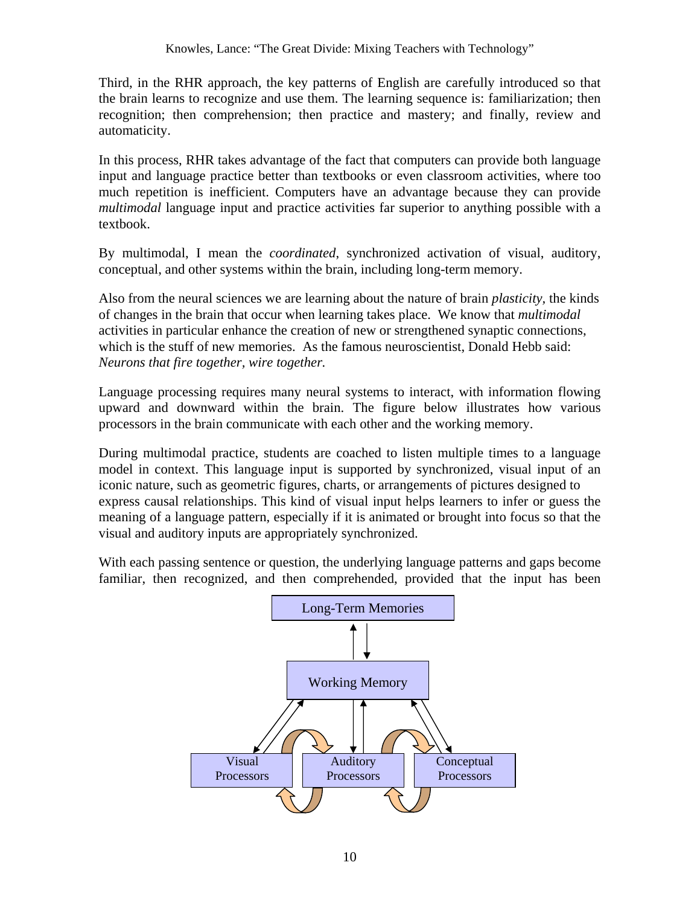Third, in the RHR approach, the key patterns of English are carefully introduced so that the brain learns to recognize and use them. The learning sequence is: familiarization; then recognition; then comprehension; then practice and mastery; and finally, review and automaticity.

In this process, RHR takes advantage of the fact that computers can provide both language input and language practice better than textbooks or even classroom activities, where too much repetition is inefficient. Computers have an advantage because they can provide *multimodal* language input and practice activities far superior to anything possible with a textbook.

By multimodal, I mean the *coordinated*, synchronized activation of visual, auditory, conceptual, and other systems within the brain, including long-term memory.

Also from the neural sciences we are learning about the nature of brain *plasticity,* the kinds of changes in the brain that occur when learning takes place. We know that *multimodal* activities in particular enhance the creation of new or strengthened synaptic connections, which is the stuff of new memories. As the famous neuroscientist, Donald Hebb said: *Neurons that fire together, wire together.*

Language processing requires many neural systems to interact, with information flowing upward and downward within the brain. The figure below illustrates how various processors in the brain communicate with each other and the working memory.

During multimodal practice, students are coached to listen multiple times to a language model in context. This language input is supported by synchronized, visual input of an iconic nature, such as geometric figures, charts, or arrangements of pictures designed to express causal relationships. This kind of visual input helps learners to infer or guess the meaning of a language pattern, especially if it is animated or brought into focus so that the visual and auditory inputs are appropriately synchronized.

With each passing sentence or question, the underlying language patterns and gaps become familiar, then recognized, and then comprehended, provided that the input has been

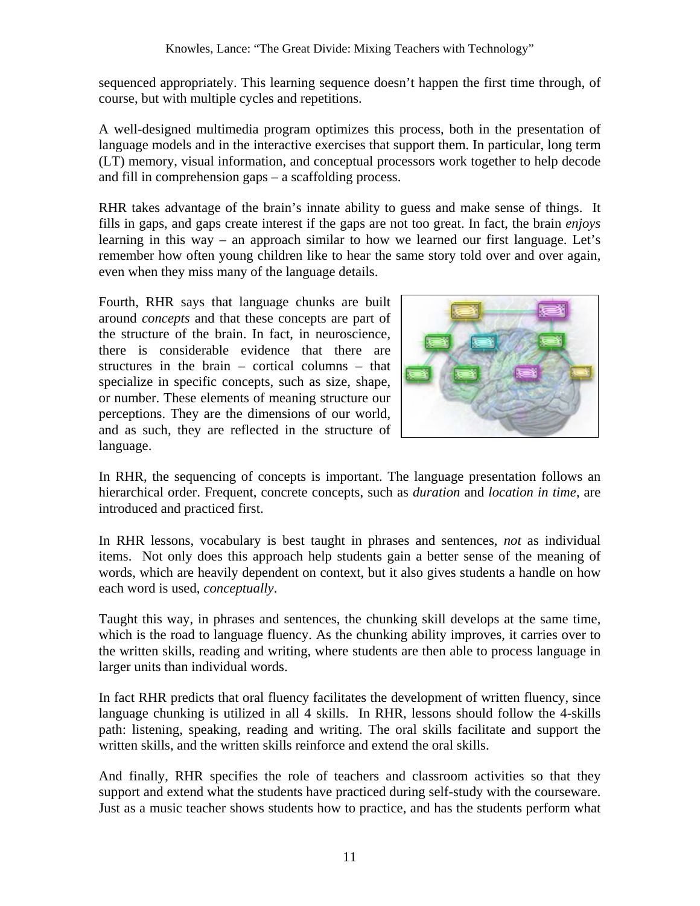sequenced appropriately. This learning sequence doesn't happen the first time through, of course, but with multiple cycles and repetitions.

A well-designed multimedia program optimizes this process, both in the presentation of language models and in the interactive exercises that support them. In particular, long term (LT) memory, visual information, and conceptual processors work together to help decode and fill in comprehension gaps – a scaffolding process.

RHR takes advantage of the brain's innate ability to guess and make sense of things. It fills in gaps, and gaps create interest if the gaps are not too great. In fact, the brain *enjoys* learning in this way – an approach similar to how we learned our first language. Let's remember how often young children like to hear the same story told over and over again, even when they miss many of the language details.

Fourth, RHR says that language chunks are built around *concepts* and that these concepts are part of the structure of the brain. In fact, in neuroscience, there is considerable evidence that there are structures in the brain – cortical columns – that specialize in specific concepts, such as size, shape, or number. These elements of meaning structure our perceptions. They are the dimensions of our world, and as such, they are reflected in the structure of language.



In RHR, the sequencing of concepts is important. The language presentation follows an hierarchical order. Frequent, concrete concepts, such as *duration* and *location in time*, are introduced and practiced first.

In RHR lessons, vocabulary is best taught in phrases and sentences, *not* as individual items. Not only does this approach help students gain a better sense of the meaning of words, which are heavily dependent on context, but it also gives students a handle on how each word is used, *conceptually*.

Taught this way, in phrases and sentences, the chunking skill develops at the same time, which is the road to language fluency. As the chunking ability improves, it carries over to the written skills, reading and writing, where students are then able to process language in larger units than individual words.

In fact RHR predicts that oral fluency facilitates the development of written fluency, since language chunking is utilized in all 4 skills. In RHR, lessons should follow the 4-skills path: listening, speaking, reading and writing. The oral skills facilitate and support the written skills, and the written skills reinforce and extend the oral skills.

And finally, RHR specifies the role of teachers and classroom activities so that they support and extend what the students have practiced during self-study with the courseware. Just as a music teacher shows students how to practice, and has the students perform what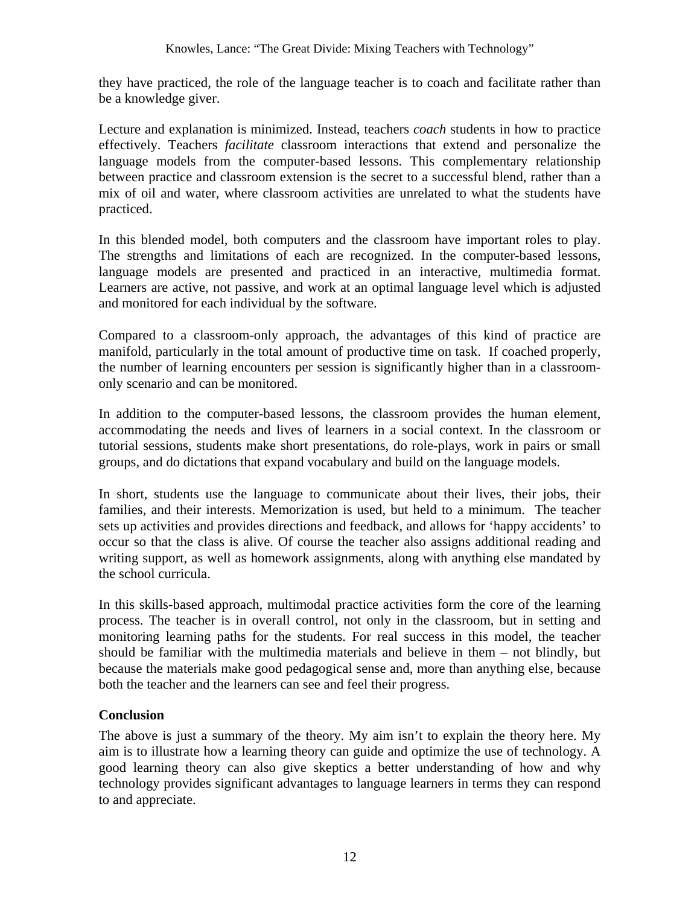they have practiced, the role of the language teacher is to coach and facilitate rather than be a knowledge giver.

Lecture and explanation is minimized. Instead, teachers *coach* students in how to practice effectively. Teachers *facilitate* classroom interactions that extend and personalize the language models from the computer-based lessons. This complementary relationship between practice and classroom extension is the secret to a successful blend, rather than a mix of oil and water, where classroom activities are unrelated to what the students have practiced.

In this blended model, both computers and the classroom have important roles to play. The strengths and limitations of each are recognized. In the computer-based lessons, language models are presented and practiced in an interactive, multimedia format. Learners are active, not passive, and work at an optimal language level which is adjusted and monitored for each individual by the software.

Compared to a classroom-only approach, the advantages of this kind of practice are manifold, particularly in the total amount of productive time on task. If coached properly, the number of learning encounters per session is significantly higher than in a classroomonly scenario and can be monitored.

In addition to the computer-based lessons, the classroom provides the human element, accommodating the needs and lives of learners in a social context. In the classroom or tutorial sessions, students make short presentations, do role-plays, work in pairs or small groups, and do dictations that expand vocabulary and build on the language models.

In short, students use the language to communicate about their lives, their jobs, their families, and their interests. Memorization is used, but held to a minimum. The teacher sets up activities and provides directions and feedback, and allows for 'happy accidents' to occur so that the class is alive. Of course the teacher also assigns additional reading and writing support, as well as homework assignments, along with anything else mandated by the school curricula.

In this skills-based approach, multimodal practice activities form the core of the learning process. The teacher is in overall control, not only in the classroom, but in setting and monitoring learning paths for the students. For real success in this model, the teacher should be familiar with the multimedia materials and believe in them – not blindly, but because the materials make good pedagogical sense and, more than anything else, because both the teacher and the learners can see and feel their progress.

### **Conclusion**

The above is just a summary of the theory. My aim isn't to explain the theory here. My aim is to illustrate how a learning theory can guide and optimize the use of technology. A good learning theory can also give skeptics a better understanding of how and why technology provides significant advantages to language learners in terms they can respond to and appreciate.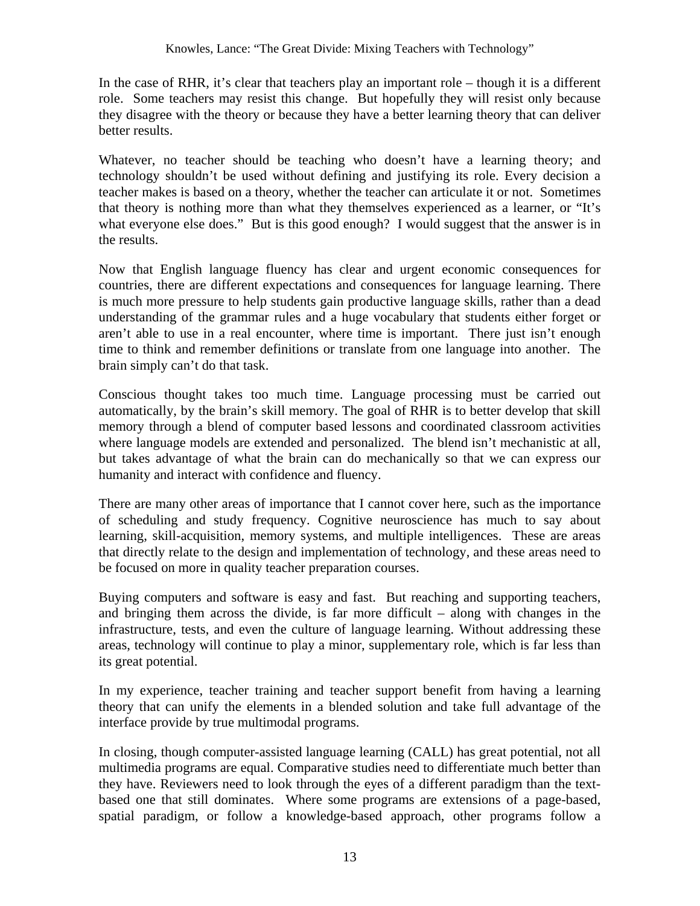In the case of RHR, it's clear that teachers play an important role – though it is a different role. Some teachers may resist this change. But hopefully they will resist only because they disagree with the theory or because they have a better learning theory that can deliver better results.

Whatever, no teacher should be teaching who doesn't have a learning theory; and technology shouldn't be used without defining and justifying its role. Every decision a teacher makes is based on a theory, whether the teacher can articulate it or not. Sometimes that theory is nothing more than what they themselves experienced as a learner, or "It's what everyone else does." But is this good enough? I would suggest that the answer is in the results.

Now that English language fluency has clear and urgent economic consequences for countries, there are different expectations and consequences for language learning. There is much more pressure to help students gain productive language skills, rather than a dead understanding of the grammar rules and a huge vocabulary that students either forget or aren't able to use in a real encounter, where time is important. There just isn't enough time to think and remember definitions or translate from one language into another. The brain simply can't do that task.

Conscious thought takes too much time. Language processing must be carried out automatically, by the brain's skill memory. The goal of RHR is to better develop that skill memory through a blend of computer based lessons and coordinated classroom activities where language models are extended and personalized. The blend isn't mechanistic at all, but takes advantage of what the brain can do mechanically so that we can express our humanity and interact with confidence and fluency.

There are many other areas of importance that I cannot cover here, such as the importance of scheduling and study frequency. Cognitive neuroscience has much to say about learning, skill-acquisition, memory systems, and multiple intelligences. These are areas that directly relate to the design and implementation of technology, and these areas need to be focused on more in quality teacher preparation courses.

Buying computers and software is easy and fast. But reaching and supporting teachers, and bringing them across the divide, is far more difficult – along with changes in the infrastructure, tests, and even the culture of language learning. Without addressing these areas, technology will continue to play a minor, supplementary role, which is far less than its great potential.

In my experience, teacher training and teacher support benefit from having a learning theory that can unify the elements in a blended solution and take full advantage of the interface provide by true multimodal programs.

In closing, though computer-assisted language learning (CALL) has great potential, not all multimedia programs are equal. Comparative studies need to differentiate much better than they have. Reviewers need to look through the eyes of a different paradigm than the textbased one that still dominates. Where some programs are extensions of a page-based, spatial paradigm, or follow a knowledge-based approach, other programs follow a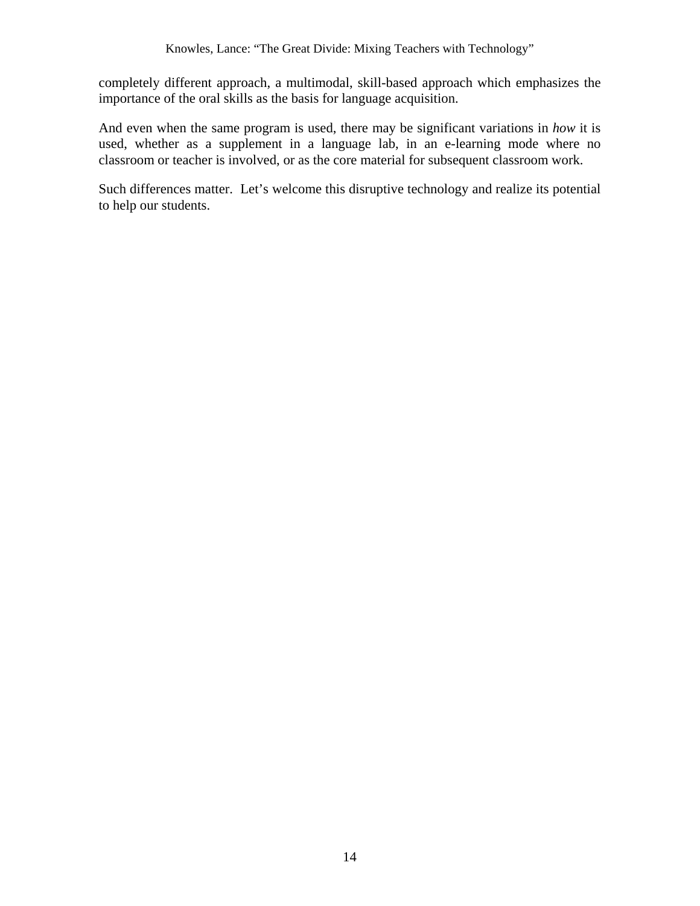completely different approach, a multimodal, skill-based approach which emphasizes the importance of the oral skills as the basis for language acquisition.

And even when the same program is used, there may be significant variations in *how* it is used, whether as a supplement in a language lab, in an e-learning mode where no classroom or teacher is involved, or as the core material for subsequent classroom work.

Such differences matter. Let's welcome this disruptive technology and realize its potential to help our students.